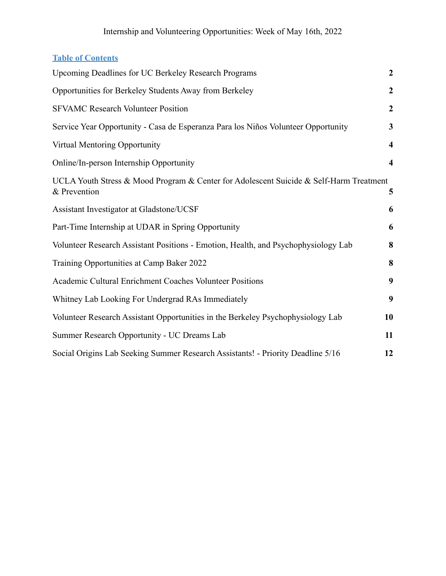### **Table of Contents**

| Upcoming Deadlines for UC Berkeley Research Programs                                                   | $\boldsymbol{2}$        |
|--------------------------------------------------------------------------------------------------------|-------------------------|
| Opportunities for Berkeley Students Away from Berkeley                                                 | $\boldsymbol{2}$        |
| <b>SFVAMC Research Volunteer Position</b>                                                              | $\boldsymbol{2}$        |
| Service Year Opportunity - Casa de Esperanza Para los Niños Volunteer Opportunity                      | $\mathbf{3}$            |
| Virtual Mentoring Opportunity                                                                          | $\overline{\mathbf{4}}$ |
| Online/In-person Internship Opportunity                                                                | $\boldsymbol{4}$        |
| UCLA Youth Stress & Mood Program & Center for Adolescent Suicide & Self-Harm Treatment<br>& Prevention | 5                       |
| Assistant Investigator at Gladstone/UCSF                                                               | 6                       |
| Part-Time Internship at UDAR in Spring Opportunity                                                     | 6                       |
| Volunteer Research Assistant Positions - Emotion, Health, and Psychophysiology Lab                     | 8                       |
| Training Opportunities at Camp Baker 2022                                                              | 8                       |
| Academic Cultural Enrichment Coaches Volunteer Positions                                               | 9                       |
| Whitney Lab Looking For Undergrad RAs Immediately                                                      | 9                       |
| Volunteer Research Assistant Opportunities in the Berkeley Psychophysiology Lab                        | 10                      |
| Summer Research Opportunity - UC Dreams Lab                                                            | 11                      |
| Social Origins Lab Seeking Summer Research Assistants! - Priority Deadline 5/16                        | 12                      |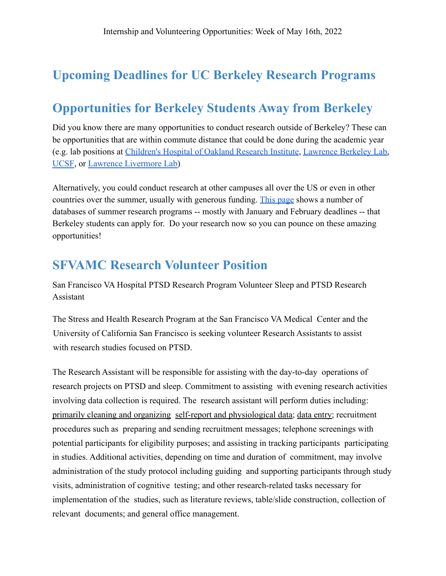## <span id="page-1-0"></span>**Upcoming Deadlines for UC Berkeley Research Programs**

## <span id="page-1-1"></span>**Opportunities for Berkeley Students Away from Berkeley**

Did you know there are many opportunities to conduct research outside of Berkeley? These can be opportunities that are within commute distance that could be done during the academic year (e.g. lab positions at [Children's Hospital of Oakland](http://www.chori.org/drupal1/) Research Institute, [Lawrence Berkeley Lab,](https://www.lbl.gov/) [UCSF](https://www.ucsf.edu/), or [Lawrence Livermore Lab\)](https://www.llnl.gov/)

Alternatively, you could conduct research at other campuses all over the US or even in other countries over the summer, usually with generous funding. [This page](https://research.berkeley.edu/opportunities/B) shows a number of databases of summer research programs -- mostly with January and February deadlines -- that Berkeley students can apply for. Do your research now so you can pounce on these amazing opportunities!

## <span id="page-1-2"></span>**SFVAMC Research Volunteer Position**

San Francisco VA Hospital PTSD Research Program Volunteer Sleep and PTSD Research Assistant

The Stress and Health Research Program at the San Francisco VA Medical Center and the University of California San Francisco is seeking volunteer Research Assistants to assist with research studies focused on PTSD.

The Research Assistant will be responsible for assisting with the day-to-day operations of research projects on PTSD and sleep. Commitment to assisting with evening research activities involving data collection is required. The research assistant will perform duties including: primarily cleaning and organizing self-report and physiological data; data entry; recruitment procedures such as preparing and sending recruitment messages; telephone screenings with potential participants for eligibility purposes; and assisting in tracking participants participating in studies. Additional activities, depending on time and duration of commitment, may involve administration of the study protocol including guiding and supporting participants through study visits, administration of cognitive testing; and other research-related tasks necessary for implementation of the studies, such as literature reviews, table/slide construction, collection of relevant documents; and general office management.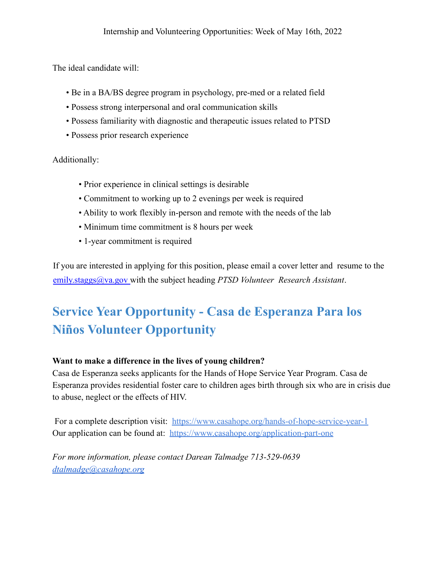The ideal candidate will:

- Be in a BA/BS degree program in psychology, pre-med or a related field
- Possess strong interpersonal and oral communication skills
- Possess familiarity with diagnostic and therapeutic issues related to PTSD
- Possess prior research experience

Additionally:

- Prior experience in clinical settings is desirable
- Commitment to working up to 2 evenings per week is required
- Ability to work flexibly in-person and remote with the needs of the lab
- Minimum time commitment is 8 hours per week
- 1-year commitment is required

If you are interested in applying for this position, please email a cover letter and resume to the emily.staggs@va.gov with the subject heading *PTSD Volunteer Research Assistant*.

# <span id="page-2-0"></span>**Service Year Opportunity - Casa de Esperanza Para los Niños Volunteer Opportunity**

#### **Want to make a difference in the lives of young children?**

Casa de Esperanza seeks applicants for the Hands of Hope Service Year Program. Casa de Esperanza provides residential foster care to children ages birth through six who are in crisis due to abuse, neglect or the effects of HIV.

For a complete description visit: <https://www.casahope.org/hands-of-hope-service-year-1> Our application can be found at: <https://www.casahope.org/application-part-one>

*For more information, please contact Darean Talmadge 713-529-0639 [dtalmadge@casahope.org](mailto:dtalmadge@casahope.org)*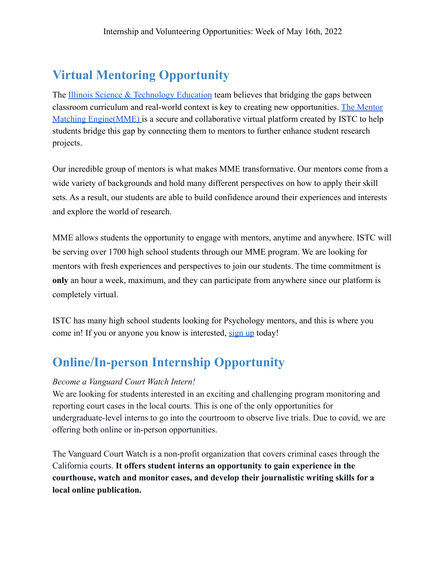# <span id="page-3-0"></span>**Virtual Mentoring Opportunity**

The [Illinois Science & Technology Education](https://www.istcoalition.org/education/) team believes that bridging the gaps between classroom curriculum and real-world context is key to creating new opportunities. [The Mentor](https://www.youtube.com/watch?v=aJMSpLEbCmg) [Matching Engine\(MME\)](https://www.youtube.com/watch?v=aJMSpLEbCmg) is a secure and collaborative virtual platform created by ISTC to help students bridge this gap by connecting them to mentors to further enhance student research projects.

Our incredible group of mentors is what makes MME transformative. Our mentors come from a wide variety of backgrounds and hold many different perspectives on how to apply their skill sets. As a result, our students are able to build confidence around their experiences and interests and explore the world of research.

MME allows students the opportunity to engage with mentors, anytime and anywhere. ISTC will be serving over 1700 high school students through our MME program. We are looking for mentors with fresh experiences and perspectives to join our students. The time commitment is **only** an hour a week, maximum, and they can participate from anywhere since our platform is completely virtual.

ISTC has many high school students looking for Psychology mentors, and this is where you come in! If you or anyone you know is interested, [sign up](https://istc1.typeform.com/to/dfb1Ts) today!

## <span id="page-3-1"></span>**Online/In-person Internship Opportunity**

#### *Become a Vanguard Court Watch Intern!*

We are looking for students interested in an exciting and challenging program monitoring and reporting court cases in the local courts. This is one of the only opportunities for undergraduate-level interns to go into the courtroom to observe live trials. Due to covid, we are offering both online or in-person opportunities.

The Vanguard Court Watch is a non-profit organization that covers criminal cases through the California courts. **It offers student interns an opportunity to gain experience in the courthouse, watch and monitor cases, and develop their journalistic writing skills for a local online publication.**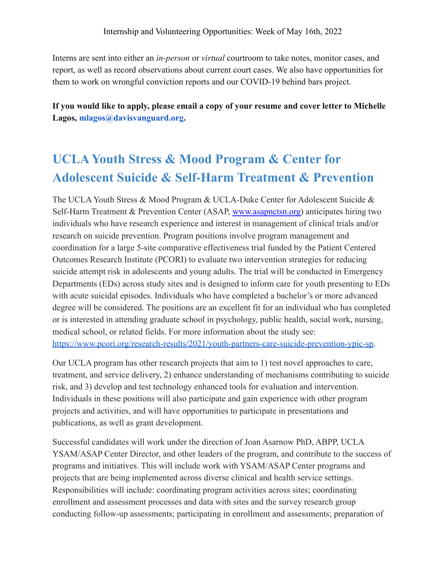Interns are sent into either an *in-person* or *virtual* courtroom to take notes, monitor cases, and report, as well as record observations about current court cases. We also have opportunities for them to work on wrongful conviction reports and our COVID-19 behind bars project.

**If you would like to apply, please email a copy of your resume and cover letter to Michelle Lagos, mlagos@davisvanguard.org.**

# <span id="page-4-0"></span>**UCLA Youth Stress & Mood Program & Center for Adolescent Suicide & Self-Harm Treatment & Prevention**

The UCLA Youth Stress & Mood Program & UCLA-Duke Center for Adolescent Suicide & Self-Harm Treatment & Prevention Center (ASAP, [www.asapnctsn.org\)](http://www.asapnctsn.org/) anticipates hiring two individuals who have research experience and interest in management of clinical trials and/or research on suicide prevention. Program positions involve program management and coordination for a large 5-site comparative effectiveness trial funded by the Patient Centered Outcomes Research Institute (PCORI) to evaluate two intervention strategies for reducing suicide attempt risk in adolescents and young adults. The trial will be conducted in Emergency Departments (EDs) across study sites and is designed to inform care for youth presenting to EDs with acute suicidal episodes. Individuals who have completed a bachelor's or more advanced degree will be considered. The positions are an excellent fit for an individual who has completed or is interested in attending graduate school in psychology, public health, social work, nursing, medical school, or related fields. For more information about the study see: [https://www.pcori.org/research-results/2021/youth-partners-care-suicide-prevention-ypic-sp.](https://www.pcori.org/research-results/2021/youth-partners-care-suicide-prevention-ypic-sp)

Our UCLA program has other research projects that aim to 1) test novel approaches to care, treatment, and service delivery, 2) enhance understanding of mechanisms contributing to suicide risk, and 3) develop and test technology enhanced tools for evaluation and intervention. Individuals in these positions will also participate and gain experience with other program projects and activities, and will have opportunities to participate in presentations and publications, as well as grant development.

Successful candidates will work under the direction of Joan Asarnow PhD, ABPP, UCLA YSAM/ASAP Center Director, and other leaders of the program, and contribute to the success of programs and initiatives. This will include work with YSAM/ASAP Center programs and projects that are being implemented across diverse clinical and health service settings. Responsibilities will include: coordinating program activities across sites; coordinating enrollment and assessment processes and data with sites and the survey research group conducting follow-up assessments; participating in enrollment and assessments; preparation of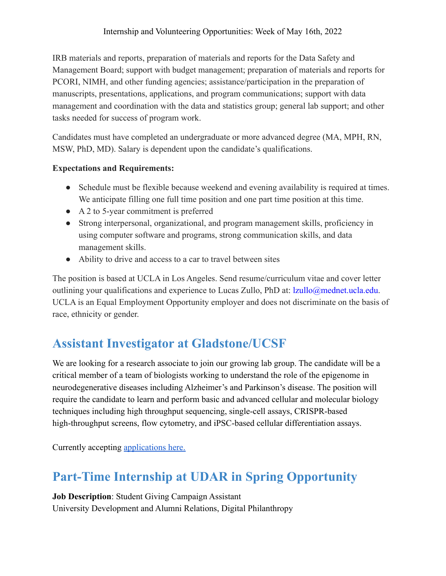#### Internship and Volunteering Opportunities: Week of May 16th, 2022

IRB materials and reports, preparation of materials and reports for the Data Safety and Management Board; support with budget management; preparation of materials and reports for PCORI, NIMH, and other funding agencies; assistance/participation in the preparation of manuscripts, presentations, applications, and program communications; support with data management and coordination with the data and statistics group; general lab support; and other tasks needed for success of program work.

Candidates must have completed an undergraduate or more advanced degree (MA, MPH, RN, MSW, PhD, MD). Salary is dependent upon the candidate's qualifications.

#### **Expectations and Requirements:**

- Schedule must be flexible because weekend and evening availability is required at times. We anticipate filling one full time position and one part time position at this time.
- A 2 to 5-year commitment is preferred
- Strong interpersonal, organizational, and program management skills, proficiency in using computer software and programs, strong communication skills, and data management skills.
- Ability to drive and access to a car to travel between sites

The position is based at UCLA in Los Angeles. Send resume/curriculum vitae and cover letter outlining your qualifications and experience to Lucas Zullo, PhD at: lzullo@mednet.ucla.edu. UCLA is an Equal Employment Opportunity employer and does not discriminate on the basis of race, ethnicity or gender.

## <span id="page-5-0"></span>**Assistant Investigator at Gladstone/UCSF**

We are looking for a research associate to join our growing lab group. The candidate will be a critical member of a team of biologists working to understand the role of the epigenome in neurodegenerative diseases including Alzheimer's and Parkinson's disease. The position will require the candidate to learn and perform basic and advanced cellular and molecular biology techniques including high throughput sequencing, single-cell assays, CRISPR-based high-throughput screens, flow cytometry, and iPSC-based cellular differentiation assays.

<span id="page-5-1"></span>Currently accepting [applications here.](https://gladstone.wd5.myworkdayjobs.com/careers/job/San-Francisco/Research-Associate-I---Corces-Lab_REQ-1206)

# **Part-Time Internship at UDAR in Spring Opportunity**

**Job Description**: Student Giving Campaign Assistant University Development and Alumni Relations, Digital Philanthropy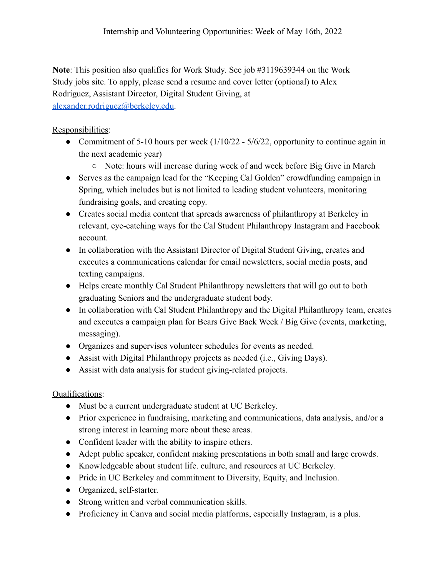**Note**: This position also qualifies for Work Study. See job #3119639344 on the Work Study jobs site. To apply, please send a resume and cover letter (optional) to Alex Rodríguez, Assistant Director, Digital Student Giving, at [alexander.rodriguez@berkeley.edu.](mailto:alexander.rodriguez@berkeley.edu)

#### Responsibilities:

- Commitment of 5-10 hours per week  $(1/10/22 5/6/22)$ , opportunity to continue again in the next academic year)
	- Note: hours will increase during week of and week before Big Give in March
- Serves as the campaign lead for the "Keeping Cal Golden" crowdfunding campaign in Spring, which includes but is not limited to leading student volunteers, monitoring fundraising goals, and creating copy.
- Creates social media content that spreads awareness of philanthropy at Berkeley in relevant, eye-catching ways for the Cal Student Philanthropy Instagram and Facebook account.
- In collaboration with the Assistant Director of Digital Student Giving, creates and executes a communications calendar for email newsletters, social media posts, and texting campaigns.
- Helps create monthly Cal Student Philanthropy newsletters that will go out to both graduating Seniors and the undergraduate student body.
- In collaboration with Cal Student Philanthropy and the Digital Philanthropy team, creates and executes a campaign plan for Bears Give Back Week / Big Give (events, marketing, messaging).
- Organizes and supervises volunteer schedules for events as needed.
- Assist with Digital Philanthropy projects as needed (i.e., Giving Days).
- Assist with data analysis for student giving-related projects.

#### Qualifications:

- Must be a current undergraduate student at UC Berkeley.
- Prior experience in fundraising, marketing and communications, data analysis, and/or a strong interest in learning more about these areas.
- Confident leader with the ability to inspire others.
- Adept public speaker, confident making presentations in both small and large crowds.
- Knowledgeable about student life. culture, and resources at UC Berkeley.
- Pride in UC Berkeley and commitment to Diversity, Equity, and Inclusion.
- Organized, self-starter.
- Strong written and verbal communication skills.
- Proficiency in Canva and social media platforms, especially Instagram, is a plus.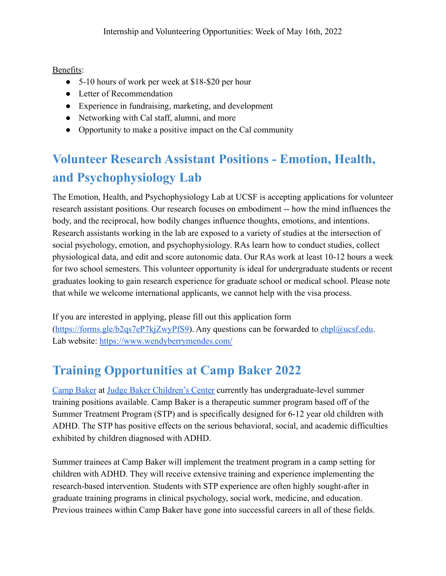Benefits:

- 5-10 hours of work per week at \$18-\$20 per hour
- Letter of Recommendation
- Experience in fundraising, marketing, and development
- Networking with Cal staff, alumni, and more
- Opportunity to make a positive impact on the Cal community

# <span id="page-7-0"></span>**Volunteer Research Assistant Positions - Emotion, Health, and Psychophysiology Lab**

The Emotion, Health, and Psychophysiology Lab at UCSF is accepting applications for volunteer research assistant positions. Our research focuses on embodiment -- how the mind influences the body, and the reciprocal, how bodily changes influence thoughts, emotions, and intentions. Research assistants working in the lab are exposed to a variety of studies at the intersection of social psychology, emotion, and psychophysiology. RAs learn how to conduct studies, collect physiological data, and edit and score autonomic data. Our RAs work at least 10-12 hours a week for two school semesters. This volunteer opportunity is ideal for undergraduate students or recent graduates looking to gain research experience for graduate school or medical school. Please note that while we welcome international applicants, we cannot help with the visa process.

If you are interested in applying, please fill out this application form  $(<https://forms.gle/b2qs7eP7kiZwvPfS9>). Any questions can be forwarded to [ehpl@ucsf.edu](mailto:ehpl@ucsf.edu).$  $(<https://forms.gle/b2qs7eP7kiZwvPfS9>). Any questions can be forwarded to [ehpl@ucsf.edu](mailto:ehpl@ucsf.edu).$  $(<https://forms.gle/b2qs7eP7kiZwvPfS9>). Any questions can be forwarded to [ehpl@ucsf.edu](mailto:ehpl@ucsf.edu).$ Lab website: <https://www.wendyberrymendes.com/>

# <span id="page-7-1"></span>**Training Opportunities at Camp Baker 2022**

[Camp Baker](https://r20.rs6.net/tn.jsp?f=0012YIJLmz03tRgxLh2OTyE5FYe_8bN09NenyCn3fj5uI2A9fkIoa-LmnKgxL7g7NXxox63SpdyF_qUIf1fFB9wmzy8SnWgZuSXieuLaFVs0T8LtKS-srilV1ug6vqXI5sttNWcNbTazh4=&c=b_xTGXVoHi9m4rZBS2ArWjE82PoDaBooTbOR-QidFy0xTKD5PEj4-A==&ch=sw0XHjUB6yC3e0e4dx6XeGJe-eS4ptF7HmmTNV5nlX35RxHVC4OjCA==) at [Judge Baker Children's Center](https://r20.rs6.net/tn.jsp?f=0012YIJLmz03tRgxLh2OTyE5FYe_8bN09NenyCn3fj5uI2A9fkIoa-Lmvl5eAgEFFmmk5gEwpOaYu0jdCKcpSnarkTkJ33QKBXRCPfiab9NbpN0E3O2JwtRJS6wSg0OTqAX2ees3JAlwdwxtUcTlGqvJw==&c=b_xTGXVoHi9m4rZBS2ArWjE82PoDaBooTbOR-QidFy0xTKD5PEj4-A==&ch=sw0XHjUB6yC3e0e4dx6XeGJe-eS4ptF7HmmTNV5nlX35RxHVC4OjCA==) currently has undergraduate-level summer training positions available. Camp Baker is a therapeutic summer program based off of the Summer Treatment Program (STP) and is specifically designed for 6-12 year old children with ADHD. The STP has positive effects on the serious behavioral, social, and academic difficulties exhibited by children diagnosed with ADHD.

Summer trainees at Camp Baker will implement the treatment program in a camp setting for children with ADHD. They will receive extensive training and experience implementing the research-based intervention. Students with STP experience are often highly sought-after in graduate training programs in clinical psychology, social work, medicine, and education. Previous trainees within Camp Baker have gone into successful careers in all of these fields.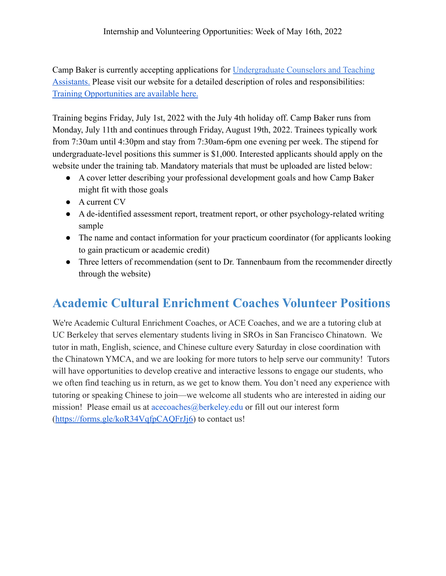Camp Baker is currently accepting applications for Undergraduate Counselors and Teaching Assistants. Please visit our website for a detailed description of roles and responsibilities: [Training Opportunities are available here.](https://campbaker.org/training-opportunities/)

Training begins Friday, July 1st, 2022 with the July 4th holiday off. Camp Baker runs from Monday, July 11th and continues through Friday, August 19th, 2022. Trainees typically work from 7:30am until 4:30pm and stay from 7:30am-6pm one evening per week. The stipend for undergraduate-level positions this summer is \$1,000. Interested applicants should apply on the website under the training tab. Mandatory materials that must be uploaded are listed below:

- A cover letter describing your professional development goals and how Camp Baker might fit with those goals
- A current CV
- A de-identified assessment report, treatment report, or other psychology-related writing sample
- The name and contact information for your practicum coordinator (for applicants looking to gain practicum or academic credit)
- Three letters of recommendation (sent to Dr. Tannenbaum from the recommender directly through the website)

## <span id="page-8-0"></span>**Academic Cultural Enrichment Coaches Volunteer Positions**

We're Academic Cultural Enrichment Coaches, or ACE Coaches, and we are a tutoring club at UC Berkeley that serves elementary students living in SROs in San Francisco Chinatown. We tutor in math, English, science, and Chinese culture every Saturday in close coordination with the Chinatown YMCA, and we are looking for more tutors to help serve our community! Tutors will have opportunities to develop creative and interactive lessons to engage our students, who we often find teaching us in return, as we get to know them. You don't need any experience with tutoring or speaking Chinese to join—we welcome all students who are interested in aiding our mission! Please email us at acecoaches@berkeley.edu or fill out our interest form (<https://forms.gle/koR34VqfpCAQFrJj6>) to contact us!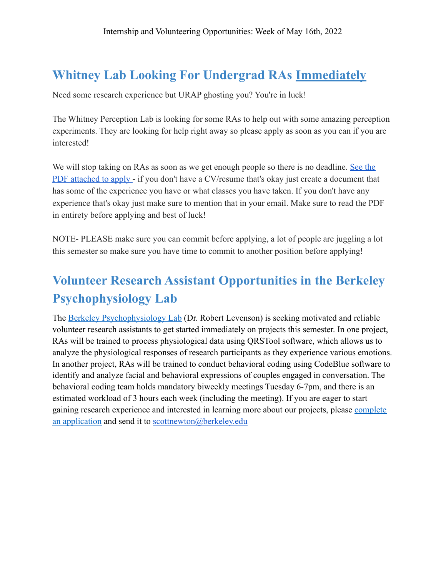## <span id="page-9-0"></span>**Whitney Lab Looking For Undergrad RAs Immediately**

Need some research experience but URAP ghosting you? You're in luck!

The Whitney Perception Lab is looking for some RAs to help out with some amazing perception experiments. They are looking for help right away so please apply as soon as you can if you are interested!

We will stop taking on RAs as soon as we get enough people so there is no deadline. [See the](https://drive.google.com/file/d/1bpoPgqWWmYQ4tbkCbA5P-VMSygoF6g4f/view?usp=sharing) [PDF attached to apply](https://drive.google.com/file/d/1bpoPgqWWmYQ4tbkCbA5P-VMSygoF6g4f/view?usp=sharing) - if you don't have a CV/resume that's okay just create a document that has some of the experience you have or what classes you have taken. If you don't have any experience that's okay just make sure to mention that in your email. Make sure to read the PDF in entirety before applying and best of luck!

NOTE- PLEASE make sure you can commit before applying, a lot of people are juggling a lot this semester so make sure you have time to commit to another position before applying!

# <span id="page-9-1"></span>**Volunteer Research Assistant Opportunities in the Berkeley Psychophysiology Lab**

The [Berkeley Psychophysiology Lab](https://bpl.berkeley.edu/index.html) (Dr. Robert Levenson) is seeking motivated and reliable volunteer research assistants to get started immediately on projects this semester. In one project, RAs will be trained to process physiological data using QRSTool software, which allows us to analyze the physiological responses of research participants as they experience various emotions. In another project, RAs will be trained to conduct behavioral coding using CodeBlue software to identify and analyze facial and behavioral expressions of couples engaged in conversation. The behavioral coding team holds mandatory biweekly meetings Tuesday 6-7pm, and there is an estimated workload of 3 hours each week (including the meeting). If you are eager to start gaining research experience and interested in learning more about our projects, please [complete](https://bpl.berkeley.edu/Application%20for%20Research%20Assistantship%20UCBPL.pdf) [an application](https://bpl.berkeley.edu/Application%20for%20Research%20Assistantship%20UCBPL.pdf) and send it to [scottnewton@berkeley.edu](mailto:scottnewton@berkeley.edu)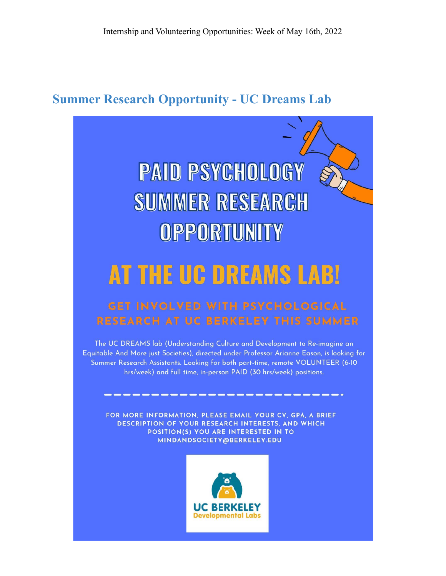## <span id="page-10-0"></span>**Summer Research Opportunity - UC Dreams Lab**

# **PAID PSYCHOLOGY SUMMER RESEARCH** OPPORTUNITY

# AT THE UC DREAMS LABI

## **GET INVOLVED WITH PSYCHOLOGICAL RESEARCH AT UC BERKELEY THIS SUMMER**

The UC DREAMS lab (Understanding Culture and Development to Re-imagine an Equitable And More just Societies), directed under Professor Arianne Eason, is looking for Summer Research Assistants. Looking for both part-time, remote VOLUNTEER (6-10 hrs/week) and full time, in-person PAID (30 hrs/week) positions.

FOR MORE INFORMATION, PLEASE EMAIL YOUR CV, GPA, A BRIEF DESCRIPTION OF YOUR RESEARCH INTERESTS, AND WHICH POSITION(S) YOU ARE INTERESTED IN TO MINDANDSOCIETY@BERKELEY.EDU

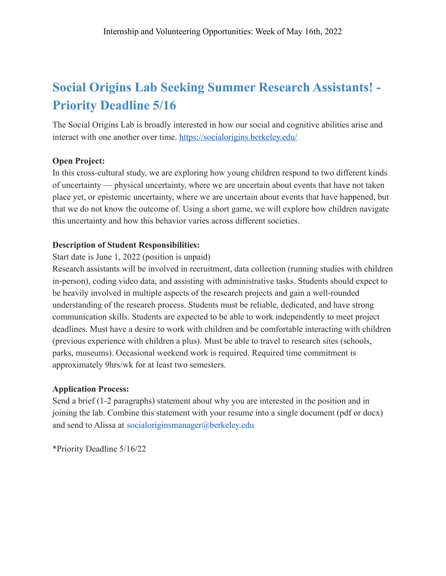# <span id="page-11-0"></span>**Social Origins Lab Seeking Summer Research Assistants! - Priority Deadline 5/16**

The Social Origins Lab is broadly interested in how our social and cognitive abilities arise and interact with one another over time. <https://socialorigins.berkeley.edu/>

#### **Open Project:**

In this cross-cultural study, we are exploring how young children respond to two different kinds of uncertainty — physical uncertainty, where we are uncertain about events that have not taken place yet, or epistemic uncertainty, where we are uncertain about events that have happened, but that we do not know the outcome of. Using a short game, we will explore how children navigate this uncertainty and how this behavior varies across different societies.

#### **Description of Student Responsibilities:**

Start date is June 1, 2022 (position is unpaid)

Research assistants will be involved in recruitment, data collection (running studies with children in-person), coding video data, and assisting with administrative tasks. Students should expect to be heavily involved in multiple aspects of the research projects and gain a well-rounded understanding of the research process. Students must be reliable, dedicated, and have strong communication skills. Students are expected to be able to work independently to meet project deadlines. Must have a desire to work with children and be comfortable interacting with children (previous experience with children a plus). Must be able to travel to research sites (schools, parks, museums). Occasional weekend work is required. Required time commitment is approximately 9hrs/wk for at least two semesters.

#### **Application Process:**

Send a brief (1-2 paragraphs) statement about why you are interested in the position and in joining the lab. Combine this statement with your resume into a single document (pdf or docx) and send to Alissa at socialoriginsmanager@berkeley.edu

\*Priority Deadline 5/16/22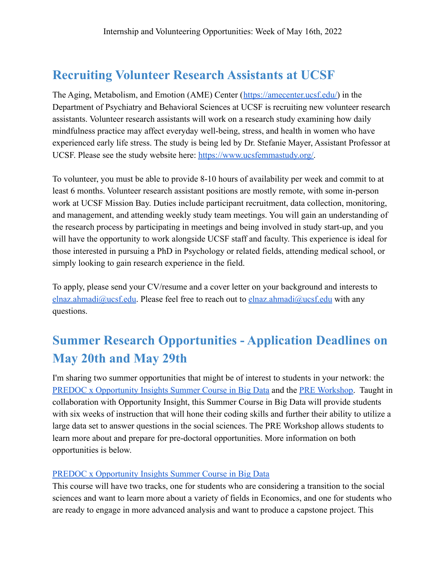## **Recruiting Volunteer Research Assistants at UCSF**

The Aging, Metabolism, and Emotion (AME) Center ([https://amecenter.ucsf.edu/\)](https://amecenter.ucsf.edu/) in the Department of Psychiatry and Behavioral Sciences at UCSF is recruiting new volunteer research assistants. Volunteer research assistants will work on a research study examining how daily mindfulness practice may affect everyday well-being, stress, and health in women who have experienced early life stress. The study is being led by Dr. Stefanie Mayer, Assistant Professor at UCSF. Please see the study website here: [https://www.ucsfemmastudy.org/.](https://www.ucsfemmastudy.org/)

To volunteer, you must be able to provide 8-10 hours of availability per week and commit to at least 6 months. Volunteer research assistant positions are mostly remote, with some in-person work at UCSF Mission Bay. Duties include participant recruitment, data collection, monitoring, and management, and attending weekly study team meetings. You will gain an understanding of the research process by participating in meetings and being involved in study start-up, and you will have the opportunity to work alongside UCSF staff and faculty. This experience is ideal for those interested in pursuing a PhD in Psychology or related fields, attending medical school, or simply looking to gain research experience in the field.

To apply, please send your CV/resume and a cover letter on your background and interests to [elnaz.ahmadi@ucsf.edu](mailto:elnaz.ahmadi@ucsf.edu). Please feel free to reach out to elnaz.ahmadi@ucsf.edu with any questions.

# **Summer Research Opportunities - Application Deadlines on May 20th and May 29th**

I'm sharing two summer opportunities that might be of interest to students in your network: the [PREDOC x Opportunity Insights Summer Course in Big Data](https://predoc.org/education#summerCourse) and the [PRE Workshop](https://predoc.org/pre-workshop). Taught in collaboration with Opportunity Insight, this Summer Course in Big Data will provide students with six weeks of instruction that will hone their coding skills and further their ability to utilize a large data set to answer questions in the social sciences. The PRE Workshop allows students to learn more about and prepare for pre-doctoral opportunities. More information on both opportunities is below.

#### [PREDOC x Opportunity Insights Summer Course in Big Data](https://predoc.org/education#summerCourse)

This course will have two tracks, one for students who are considering a transition to the social sciences and want to learn more about a variety of fields in Economics, and one for students who are ready to engage in more advanced analysis and want to produce a capstone project. This